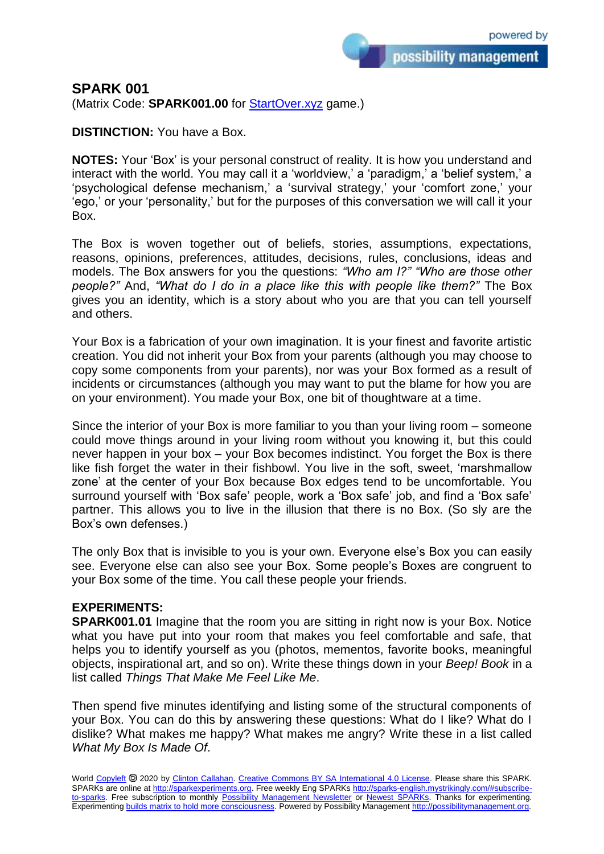possibility management

## **SPARK 001**

(Matrix Code: **SPARK001.00** for **StartOver.xyz** game.)

**DISTINCTION:** You have a Box.

**NOTES:** Your 'Box' is your personal construct of reality. It is how you understand and interact with the world. You may call it a 'worldview,' a 'paradigm,' a 'belief system,' a 'psychological defense mechanism,' a 'survival strategy,' your 'comfort zone,' your 'ego,' or your 'personality,' but for the purposes of this conversation we will call it your Box.

The Box is woven together out of beliefs, stories, assumptions, expectations, reasons, opinions, preferences, attitudes, decisions, rules, conclusions, ideas and models. The Box answers for you the questions: *"Who am I?" "Who are those other people?"* And, *"What do I do in a place like this with people like them?"* The Box gives you an identity, which is a story about who you are that you can tell yourself and others.

Your Box is a fabrication of your own imagination. It is your finest and favorite artistic creation. You did not inherit your Box from your parents (although you may choose to copy some components from your parents), nor was your Box formed as a result of incidents or circumstances (although you may want to put the blame for how you are on your environment). You made your Box, one bit of thoughtware at a time.

Since the interior of your Box is more familiar to you than your living room – someone could move things around in your living room without you knowing it, but this could never happen in your box – your Box becomes indistinct. You forget the Box is there like fish forget the water in their fishbowl. You live in the soft, sweet, 'marshmallow zone' at the center of your Box because Box edges tend to be uncomfortable. You surround yourself with 'Box safe' people, work a 'Box safe' job, and find a 'Box safe' partner. This allows you to live in the illusion that there is no Box. (So sly are the Box's own defenses.)

The only Box that is invisible to you is your own. Everyone else's Box you can easily see. Everyone else can also see your Box. Some people's Boxes are congruent to your Box some of the time. You call these people your friends.

## **EXPERIMENTS:**

**SPARK001.01** Imagine that the room you are sitting in right now is your Box. Notice what you have put into your room that makes you feel comfortable and safe, that helps you to identify yourself as you (photos, mementos, favorite books, meaningful objects, inspirational art, and so on). Write these things down in your *Beep! Book* in a list called *Things That Make Me Feel Like Me*.

Then spend five minutes identifying and listing some of the structural components of your Box. You can do this by answering these questions: What do I like? What do I dislike? What makes me happy? What makes me angry? Write these in a list called *What My Box Is Made Of*.